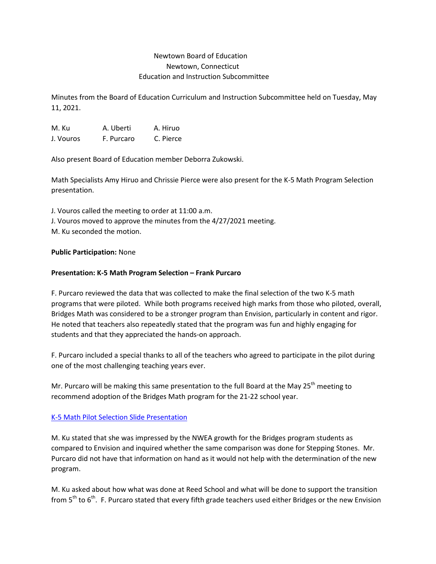# Newtown Board of Education Newtown, Connecticut Education and Instruction Subcommittee

Minutes from the Board of Education Curriculum and Instruction Subcommittee held on Tuesday, May 11, 2021.

M. Ku A. Uberti A. Hiruo J. Vouros F. Purcaro C. Pierce

Also present Board of Education member Deborra Zukowski.

Math Specialists Amy Hiruo and Chrissie Pierce were also present for the K-5 Math Program Selection presentation.

J. Vouros called the meeting to order at 11:00 a.m. J. Vouros moved to approve the minutes from the 4/27/2021 meeting. M. Ku seconded the motion.

#### **Public Participation:** None

## **Presentation: K-5 Math Program Selection – Frank Purcaro**

F. Purcaro reviewed the data that was collected to make the final selection of the two K-5 math programs that were piloted. While both programs received high marks from those who piloted, overall, Bridges Math was considered to be a stronger program than Envision, particularly in content and rigor. He noted that teachers also repeatedly stated that the program was fun and highly engaging for students and that they appreciated the hands-on approach.

F. Purcaro included a special thanks to all of the teachers who agreed to participate in the pilot during one of the most challenging teaching years ever.

Mr. Purcaro will be making this same presentation to the full Board at the May  $25<sup>th</sup>$  meeting to recommend adoption of the Bridges Math program for the 21-22 school year.

#### [K-5 Math Pilot Selection Slide Presentation](https://drive.google.com/file/d/1cVFsA4D9adI8ZTRkJ3Y3aMOBiM-w6LLn/view?usp=sharing)

M. Ku stated that she was impressed by the NWEA growth for the Bridges program students as compared to Envision and inquired whether the same comparison was done for Stepping Stones. Mr. Purcaro did not have that information on hand as it would not help with the determination of the new program.

M. Ku asked about how what was done at Reed School and what will be done to support the transition from  $5<sup>th</sup>$  to  $6<sup>th</sup>$ . F. Purcaro stated that every fifth grade teachers used either Bridges or the new Envision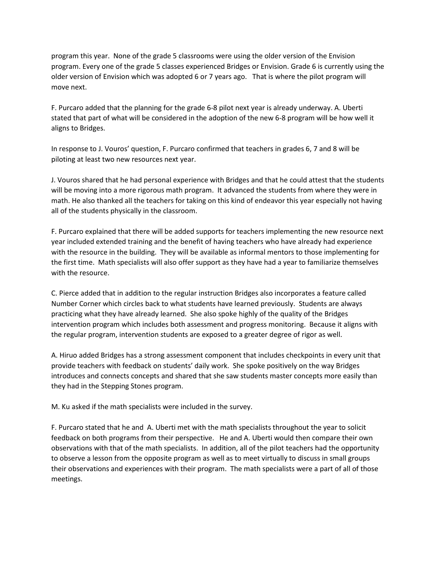program this year. None of the grade 5 classrooms were using the older version of the Envision program. Every one of the grade 5 classes experienced Bridges or Envision. Grade 6 is currently using the older version of Envision which was adopted 6 or 7 years ago. That is where the pilot program will move next.

F. Purcaro added that the planning for the grade 6-8 pilot next year is already underway. A. Uberti stated that part of what will be considered in the adoption of the new 6-8 program will be how well it aligns to Bridges.

In response to J. Vouros' question, F. Purcaro confirmed that teachers in grades 6, 7 and 8 will be piloting at least two new resources next year.

J. Vouros shared that he had personal experience with Bridges and that he could attest that the students will be moving into a more rigorous math program. It advanced the students from where they were in math. He also thanked all the teachers for taking on this kind of endeavor this year especially not having all of the students physically in the classroom.

F. Purcaro explained that there will be added supports for teachers implementing the new resource next year included extended training and the benefit of having teachers who have already had experience with the resource in the building. They will be available as informal mentors to those implementing for the first time. Math specialists will also offer support as they have had a year to familiarize themselves with the resource.

C. Pierce added that in addition to the regular instruction Bridges also incorporates a feature called Number Corner which circles back to what students have learned previously. Students are always practicing what they have already learned. She also spoke highly of the quality of the Bridges intervention program which includes both assessment and progress monitoring. Because it aligns with the regular program, intervention students are exposed to a greater degree of rigor as well.

A. Hiruo added Bridges has a strong assessment component that includes checkpoints in every unit that provide teachers with feedback on students' daily work. She spoke positively on the way Bridges introduces and connects concepts and shared that she saw students master concepts more easily than they had in the Stepping Stones program.

M. Ku asked if the math specialists were included in the survey.

F. Purcaro stated that he and A. Uberti met with the math specialists throughout the year to solicit feedback on both programs from their perspective. He and A. Uberti would then compare their own observations with that of the math specialists. In addition, all of the pilot teachers had the opportunity to observe a lesson from the opposite program as well as to meet virtually to discuss in small groups their observations and experiences with their program. The math specialists were a part of all of those meetings.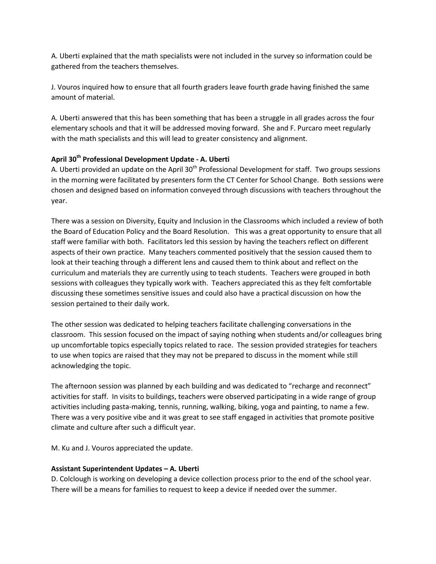A. Uberti explained that the math specialists were not included in the survey so information could be gathered from the teachers themselves.

J. Vouros inquired how to ensure that all fourth graders leave fourth grade having finished the same amount of material.

A. Uberti answered that this has been something that has been a struggle in all grades across the four elementary schools and that it will be addressed moving forward. She and F. Purcaro meet regularly with the math specialists and this will lead to greater consistency and alignment.

## **April 30th Professional Development Update - A. Uberti**

A. Uberti provided an update on the April 30<sup>th</sup> Professional Development for staff. Two groups sessions in the morning were facilitated by presenters form the CT Center for School Change. Both sessions were chosen and designed based on information conveyed through discussions with teachers throughout the year.

There was a session on Diversity, Equity and Inclusion in the Classrooms which included a review of both the Board of Education Policy and the Board Resolution. This was a great opportunity to ensure that all staff were familiar with both. Facilitators led this session by having the teachers reflect on different aspects of their own practice. Many teachers commented positively that the session caused them to look at their teaching through a different lens and caused them to think about and reflect on the curriculum and materials they are currently using to teach students. Teachers were grouped in both sessions with colleagues they typically work with. Teachers appreciated this as they felt comfortable discussing these sometimes sensitive issues and could also have a practical discussion on how the session pertained to their daily work.

The other session was dedicated to helping teachers facilitate challenging conversations in the classroom. This session focused on the impact of saying nothing when students and/or colleagues bring up uncomfortable topics especially topics related to race. The session provided strategies for teachers to use when topics are raised that they may not be prepared to discuss in the moment while still acknowledging the topic.

The afternoon session was planned by each building and was dedicated to "recharge and reconnect" activities for staff. In visits to buildings, teachers were observed participating in a wide range of group activities including pasta-making, tennis, running, walking, biking, yoga and painting, to name a few. There was a very positive vibe and it was great to see staff engaged in activities that promote positive climate and culture after such a difficult year.

M. Ku and J. Vouros appreciated the update.

#### **Assistant Superintendent Updates – A. Uberti**

D. Colclough is working on developing a device collection process prior to the end of the school year. There will be a means for families to request to keep a device if needed over the summer.